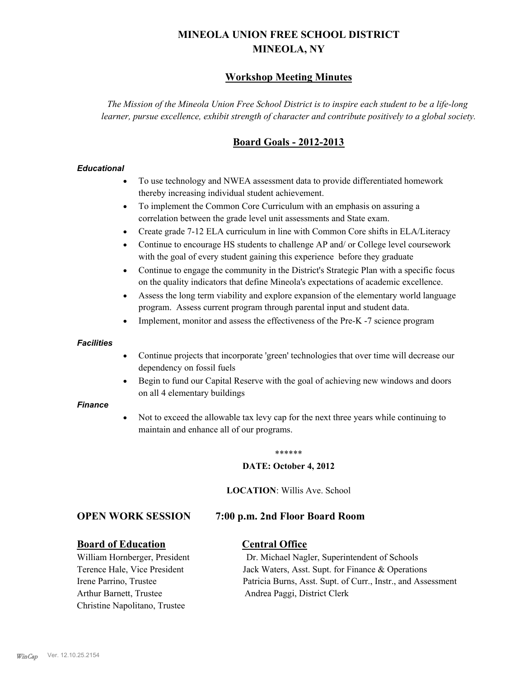# **MINEOLA UNION FREE SCHOOL DISTRICT MINEOLA, NY**

# **Workshop Meeting Minutes**

*The Mission of the Mineola Union Free School District is to inspire each student to be a life-long learner, pursue excellence, exhibit strength of character and contribute positively to a global society.*

# **Board Goals - 2012-2013**

#### *Educational*

- · To use technology and NWEA assessment data to provide differentiated homework thereby increasing individual student achievement.
- · To implement the Common Core Curriculum with an emphasis on assuring a correlation between the grade level unit assessments and State exam.
- Create grade 7-12 ELA curriculum in line with Common Core shifts in ELA/Literacy
- Continue to encourage HS students to challenge AP and/ or College level coursework with the goal of every student gaining this experience before they graduate
- · Continue to engage the community in the District's Strategic Plan with a specific focus on the quality indicators that define Mineola's expectations of academic excellence.
- Assess the long term viability and explore expansion of the elementary world language program. Assess current program through parental input and student data.
- Implement, monitor and assess the effectiveness of the Pre-K -7 science program

#### *Facilities*

- · Continue projects that incorporate 'green' technologies that over time will decrease our dependency on fossil fuels
- Begin to fund our Capital Reserve with the goal of achieving new windows and doors on all 4 elementary buildings

#### *Finance*

Not to exceed the allowable tax levy cap for the next three years while continuing to maintain and enhance all of our programs.

#### \*\*\*\*\*\*

#### **DATE: October 4, 2012**

**LOCATION**: Willis Ave. School

#### **OPEN WORK SESSION 7:00 p.m. 2nd Floor Board Room**

#### **Board of Education Central Office**

Arthur Barnett, Trustee Andrea Paggi, District Clerk Christine Napolitano, Trustee

William Hornberger, President Dr. Michael Nagler, Superintendent of Schools Terence Hale, Vice President Jack Waters, Asst. Supt. for Finance & Operations Irene Parrino, Trustee Patricia Burns, Asst. Supt. of Curr., Instr., and Assessment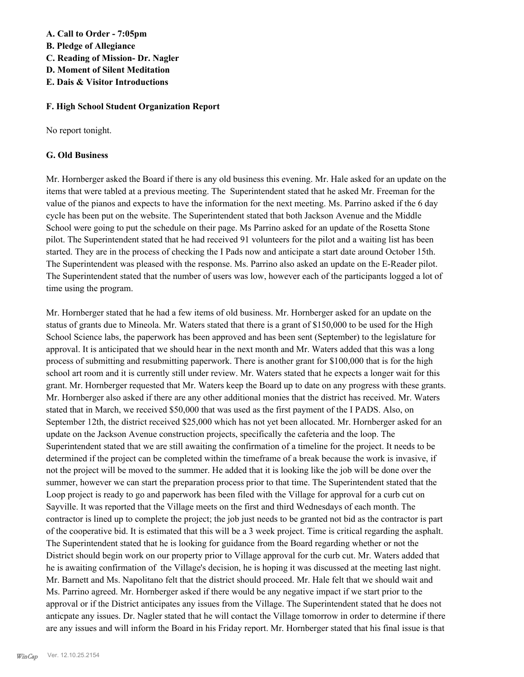**A. Call to Order - 7:05pm**

- **B. Pledge of Allegiance**
- **C. Reading of Mission- Dr. Nagler**
- **D. Moment of Silent Meditation**
- **E. Dais & Visitor Introductions**

# **F. High School Student Organization Report**

No report tonight.

# **G. Old Business**

Mr. Hornberger asked the Board if there is any old business this evening. Mr. Hale asked for an update on the items that were tabled at a previous meeting. The Superintendent stated that he asked Mr. Freeman for the value of the pianos and expects to have the information for the next meeting. Ms. Parrino asked if the 6 day cycle has been put on the website. The Superintendent stated that both Jackson Avenue and the Middle School were going to put the schedule on their page. Ms Parrino asked for an update of the Rosetta Stone pilot. The Superintendent stated that he had received 91 volunteers for the pilot and a waiting list has been started. They are in the process of checking the I Pads now and anticipate a start date around October 15th. The Superintendent was pleased with the response. Ms. Parrino also asked an update on the E-Reader pilot. The Superintendent stated that the number of users was low, however each of the participants logged a lot of time using the program.

Mr. Hornberger stated that he had a few items of old business. Mr. Hornberger asked for an update on the status of grants due to Mineola. Mr. Waters stated that there is a grant of \$150,000 to be used for the High School Science labs, the paperwork has been approved and has been sent (September) to the legislature for approval. It is anticipated that we should hear in the next month and Mr. Waters added that this was a long process of submitting and resubmitting paperwork. There is another grant for \$100,000 that is for the high school art room and it is currently still under review. Mr. Waters stated that he expects a longer wait for this grant. Mr. Hornberger requested that Mr. Waters keep the Board up to date on any progress with these grants. Mr. Hornberger also asked if there are any other additional monies that the district has received. Mr. Waters stated that in March, we received \$50,000 that was used as the first payment of the I PADS. Also, on September 12th, the district received \$25,000 which has not yet been allocated. Mr. Hornberger asked for an update on the Jackson Avenue construction projects, specifically the cafeteria and the loop. The Superintendent stated that we are still awaiting the confirmation of a timeline for the project. It needs to be determined if the project can be completed within the timeframe of a break because the work is invasive, if not the project will be moved to the summer. He added that it is looking like the job will be done over the summer, however we can start the preparation process prior to that time. The Superintendent stated that the Loop project is ready to go and paperwork has been filed with the Village for approval for a curb cut on Sayville. It was reported that the Village meets on the first and third Wednesdays of each month. The contractor is lined up to complete the project; the job just needs to be granted not bid as the contractor is part of the cooperative bid. It is estimated that this will be a 3 week project. Time is critical regarding the asphalt. The Superintendent stated that he is looking for guidance from the Board regarding whether or not the District should begin work on our property prior to Village approval for the curb cut. Mr. Waters added that he is awaiting confirmation of the Village's decision, he is hoping it was discussed at the meeting last night. Mr. Barnett and Ms. Napolitano felt that the district should proceed. Mr. Hale felt that we should wait and Ms. Parrino agreed. Mr. Hornberger asked if there would be any negative impact if we start prior to the approval or if the District anticipates any issues from the Village. The Superintendent stated that he does not anticpate any issues. Dr. Nagler stated that he will contact the Village tomorrow in order to determine if there are any issues and will inform the Board in his Friday report. Mr. Hornberger stated that his final issue is that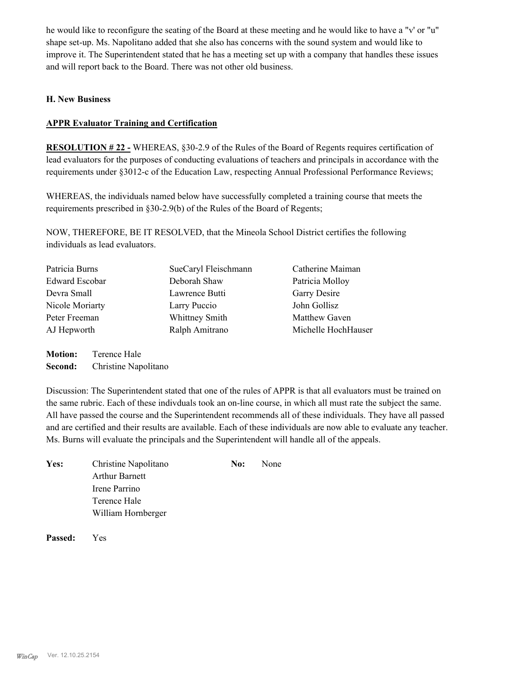he would like to reconfigure the seating of the Board at these meeting and he would like to have a "v' or "u" shape set-up. Ms. Napolitano added that she also has concerns with the sound system and would like to improve it. The Superintendent stated that he has a meeting set up with a company that handles these issues and will report back to the Board. There was not other old business.

### **H. New Business**

#### **APPR Evaluator Training and Certification**

**RESOLUTION # 22 -** WHEREAS, §30-2.9 of the Rules of the Board of Regents requires certification of lead evaluators for the purposes of conducting evaluations of teachers and principals in accordance with the requirements under §3012-c of the Education Law, respecting Annual Professional Performance Reviews;

WHEREAS, the individuals named below have successfully completed a training course that meets the requirements prescribed in §30-2.9(b) of the Rules of the Board of Regents;

NOW, THEREFORE, BE IT RESOLVED, that the Mineola School District certifies the following individuals as lead evaluators.

| Patricia Burns        | SueCaryl Fleischmann | Catherine Maiman     |
|-----------------------|----------------------|----------------------|
| <b>Edward Escobar</b> | Deborah Shaw         | Patricia Molloy      |
| Devra Small           | Lawrence Butti       | Garry Desire         |
| Nicole Moriarty       | Larry Puccio         | John Gollisz         |
| Peter Freeman         | Whittney Smith       | Matthew Gaven        |
| AJ Hepworth           | Ralph Amitrano       | Michelle Hoch Hauser |
|                       |                      |                      |

**Motion:** Terence Hale **Second:** Christine Napolitano

Discussion: The Superintendent stated that one of the rules of APPR is that all evaluators must be trained on the same rubric. Each of these indivduals took an on-line course, in which all must rate the subject the same. All have passed the course and the Superintendent recommends all of these individuals. They have all passed and are certified and their results are available. Each of these individuals are now able to evaluate any teacher. Ms. Burns will evaluate the principals and the Superintendent will handle all of the appeals.

| Christine Napolitano  | No: | None |
|-----------------------|-----|------|
| <b>Arthur Barnett</b> |     |      |
| Irene Parrino         |     |      |
| Terence Hale          |     |      |
| William Hornberger    |     |      |
|                       |     |      |

**Passed:** Yes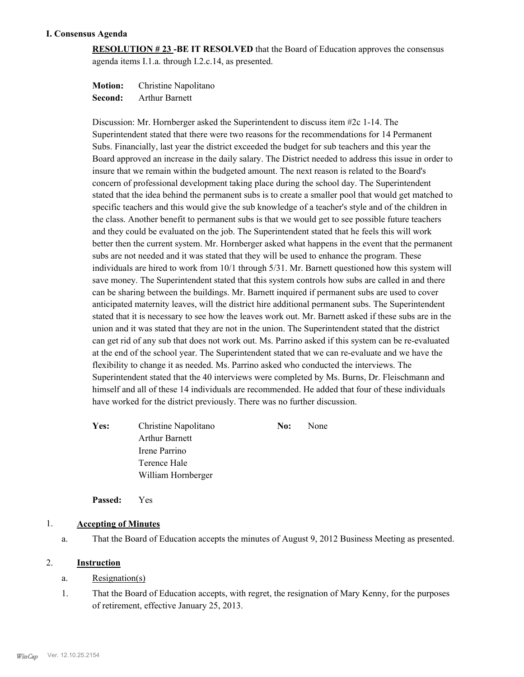# **I. Consensus Agenda**

**RESOLUTION # 23 -BE IT RESOLVED** that the Board of Education approves the consensus agenda items I.1.a. through I.2.c.14, as presented.

**Motion:** Christine Napolitano

**Second:** Arthur Barnett

Discussion: Mr. Hornberger asked the Superintendent to discuss item #2c 1-14. The Superintendent stated that there were two reasons for the recommendations for 14 Permanent Subs. Financially, last year the district exceeded the budget for sub teachers and this year the Board approved an increase in the daily salary. The District needed to address this issue in order to insure that we remain within the budgeted amount. The next reason is related to the Board's concern of professional development taking place during the school day. The Superintendent stated that the idea behind the permanent subs is to create a smaller pool that would get matched to specific teachers and this would give the sub knowledge of a teacher's style and of the children in the class. Another benefit to permanent subs is that we would get to see possible future teachers and they could be evaluated on the job. The Superintendent stated that he feels this will work better then the current system. Mr. Hornberger asked what happens in the event that the permanent subs are not needed and it was stated that they will be used to enhance the program. These individuals are hired to work from 10/1 through 5/31. Mr. Barnett questioned how this system will save money. The Superintendent stated that this system controls how subs are called in and there can be sharing between the buildings. Mr. Barnett inquired if permanent subs are used to cover anticipated maternity leaves, will the district hire additional permanent subs. The Superintendent stated that it is necessary to see how the leaves work out. Mr. Barnett asked if these subs are in the union and it was stated that they are not in the union. The Superintendent stated that the district can get rid of any sub that does not work out. Ms. Parrino asked if this system can be re-evaluated at the end of the school year. The Superintendent stated that we can re-evaluate and we have the flexibility to change it as needed. Ms. Parrino asked who conducted the interviews. The Superintendent stated that the 40 interviews were completed by Ms. Burns, Dr. Fleischmann and himself and all of these 14 individuals are recommended. He added that four of these individuals have worked for the district previously. There was no further discussion.

Yes: Christine Napolitano **No:** None Arthur Barnett Irene Parrino Terence Hale William Hornberger

**Passed:** Yes

# 1. **Accepting of Minutes**

a. That the Board of Education accepts the minutes of August 9, 2012 Business Meeting as presented.

# 2. **Instruction**

# a. Resignation(s)

That the Board of Education accepts, with regret, the resignation of Mary Kenny, for the purposes of retirement, effective January 25, 2013. 1.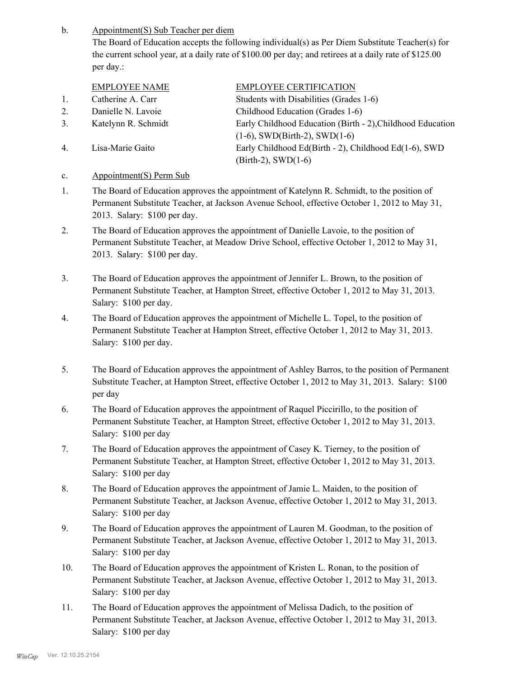Appointment(S) Sub Teacher per diem b.

> The Board of Education accepts the following individual(s) as Per Diem Substitute Teacher(s) for the current school year, at a daily rate of \$100.00 per day; and retirees at a daily rate of \$125.00 per day.:

|    | <b>EMPLOYEE NAME</b> | <b>EMPLOYEE CERTIFICATION</b>                              |
|----|----------------------|------------------------------------------------------------|
| 1. | Catherine A. Carr    | Students with Disabilities (Grades 1-6)                    |
| 2. | Danielle N. Lavoie   | Childhood Education (Grades 1-6)                           |
| 3. | Katelynn R. Schmidt  | Early Childhood Education (Birth - 2), Childhood Education |
|    |                      | $(1-6)$ , SWD(Birth-2), SWD(1-6)                           |
| 4. | Lisa-Marie Gaito     | Early Childhood Ed(Birth - 2), Childhood Ed(1-6), SWD      |
|    |                      | $(Birth-2)$ , SWD $(1-6)$                                  |
|    |                      |                                                            |

# c. Appointment(S) Perm Sub

- The Board of Education approves the appointment of Katelynn R. Schmidt, to the position of Permanent Substitute Teacher, at Jackson Avenue School, effective October 1, 2012 to May 31, 2013. Salary: \$100 per day. 1.
- The Board of Education approves the appointment of Danielle Lavoie, to the position of Permanent Substitute Teacher, at Meadow Drive School, effective October 1, 2012 to May 31, 2013. Salary: \$100 per day. 2.
- The Board of Education approves the appointment of Jennifer L. Brown, to the position of Permanent Substitute Teacher, at Hampton Street, effective October 1, 2012 to May 31, 2013. Salary: \$100 per day. 3.
- The Board of Education approves the appointment of Michelle L. Topel, to the position of Permanent Substitute Teacher at Hampton Street, effective October 1, 2012 to May 31, 2013. Salary: \$100 per day. 4.
- The Board of Education approves the appointment of Ashley Barros, to the position of Permanent Substitute Teacher, at Hampton Street, effective October 1, 2012 to May 31, 2013. Salary: \$100 per day 5.
- The Board of Education approves the appointment of Raquel Piccirillo, to the position of Permanent Substitute Teacher, at Hampton Street, effective October 1, 2012 to May 31, 2013. Salary: \$100 per day 6.
- The Board of Education approves the appointment of Casey K. Tierney, to the position of Permanent Substitute Teacher, at Hampton Street, effective October 1, 2012 to May 31, 2013. Salary: \$100 per day 7.
- The Board of Education approves the appointment of Jamie L. Maiden, to the position of Permanent Substitute Teacher, at Jackson Avenue, effective October 1, 2012 to May 31, 2013. Salary: \$100 per day 8.
- The Board of Education approves the appointment of Lauren M. Goodman, to the position of Permanent Substitute Teacher, at Jackson Avenue, effective October 1, 2012 to May 31, 2013. Salary: \$100 per day 9.
- The Board of Education approves the appointment of Kristen L. Ronan, to the position of Permanent Substitute Teacher, at Jackson Avenue, effective October 1, 2012 to May 31, 2013. Salary: \$100 per day 10.
- The Board of Education approves the appointment of Melissa Dadich, to the position of Permanent Substitute Teacher, at Jackson Avenue, effective October 1, 2012 to May 31, 2013. Salary: \$100 per day 11.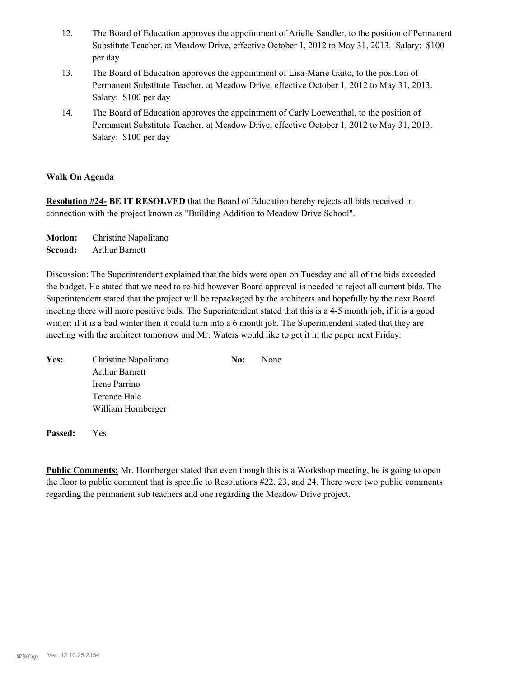- The Board of Education approves the appointment of Arielle Sandler, to the position of Permanent Substitute Teacher, at Meadow Drive, effective October 1, 2012 to May 31, 2013. Salary: \$100 per day 12.
- The Board of Education approves the appointment of Lisa-Marie Gaito, to the position of Permanent Substitute Teacher, at Meadow Drive, effective October 1, 2012 to May 31, 2013. Salary: \$100 per day 13.
- The Board of Education approves the appointment of Carly Loewenthal, to the position of Permanent Substitute Teacher, at Meadow Drive, effective October 1, 2012 to May 31, 2013. Salary: \$100 per day 14.

# **Walk On Agenda**

**Resolution #24- BE IT RESOLVED** that the Board of Education hereby rejects all bids received in connection with the project known as "Building Addition to Meadow Drive School".

**Motion:** Christine Napolitano **Second:** Arthur Barnett

Discussion: The Superintendent explained that the bids were open on Tuesday and all of the bids exceeded the budget. He stated that we need to re-bid however Board approval is needed to reject all current bids. The Superintendent stated that the project will be repackaged by the architects and hopefully by the next Board meeting there will more positive bids. The Superintendent stated that this is a 4-5 month job, if it is a good winter; if it is a bad winter then it could turn into a 6 month job. The Superintendent stated that they are meeting with the architect tomorrow and Mr. Waters would like to get it in the paper next Friday.

| Yes: | Christine Napolitano  | No: | None |
|------|-----------------------|-----|------|
|      | <b>Arthur Barnett</b> |     |      |
|      | Irene Parrino         |     |      |
|      | Terence Hale          |     |      |
|      | William Hornberger    |     |      |

**Passed:** Yes

**Public Comments:** Mr. Hornberger stated that even though this is a Workshop meeting, he is going to open the floor to public comment that is specific to Resolutions #22, 23, and 24. There were two public comments regarding the permanent sub teachers and one regarding the Meadow Drive project.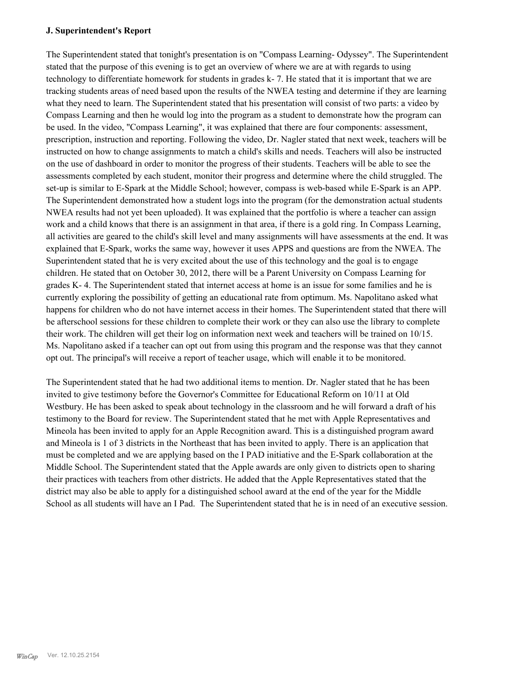#### **J. Superintendent's Report**

The Superintendent stated that tonight's presentation is on "Compass Learning- Odyssey". The Superintendent stated that the purpose of this evening is to get an overview of where we are at with regards to using technology to differentiate homework for students in grades k- 7. He stated that it is important that we are tracking students areas of need based upon the results of the NWEA testing and determine if they are learning what they need to learn. The Superintendent stated that his presentation will consist of two parts: a video by Compass Learning and then he would log into the program as a student to demonstrate how the program can be used. In the video, "Compass Learning", it was explained that there are four components: assessment, prescription, instruction and reporting. Following the video, Dr. Nagler stated that next week, teachers will be instructed on how to change assignments to match a child's skills and needs. Teachers will also be instructed on the use of dashboard in order to monitor the progress of their students. Teachers will be able to see the assessments completed by each student, monitor their progress and determine where the child struggled. The set-up is similar to E-Spark at the Middle School; however, compass is web-based while E-Spark is an APP. The Superintendent demonstrated how a student logs into the program (for the demonstration actual students NWEA results had not yet been uploaded). It was explained that the portfolio is where a teacher can assign work and a child knows that there is an assignment in that area, if there is a gold ring. In Compass Learning, all activities are geared to the child's skill level and many assignments will have assessments at the end. It was explained that E-Spark, works the same way, however it uses APPS and questions are from the NWEA. The Superintendent stated that he is very excited about the use of this technology and the goal is to engage children. He stated that on October 30, 2012, there will be a Parent University on Compass Learning for grades K- 4. The Superintendent stated that internet access at home is an issue for some families and he is currently exploring the possibility of getting an educational rate from optimum. Ms. Napolitano asked what happens for children who do not have internet access in their homes. The Superintendent stated that there will be afterschool sessions for these children to complete their work or they can also use the library to complete their work. The children will get their log on information next week and teachers will be trained on 10/15. Ms. Napolitano asked if a teacher can opt out from using this program and the response was that they cannot opt out. The principal's will receive a report of teacher usage, which will enable it to be monitored.

The Superintendent stated that he had two additional items to mention. Dr. Nagler stated that he has been invited to give testimony before the Governor's Committee for Educational Reform on 10/11 at Old Westbury. He has been asked to speak about technology in the classroom and he will forward a draft of his testimony to the Board for review. The Superintendent stated that he met with Apple Representatives and Mineola has been invited to apply for an Apple Recognition award. This is a distinguished program award and Mineola is 1 of 3 districts in the Northeast that has been invited to apply. There is an application that must be completed and we are applying based on the I PAD initiative and the E-Spark collaboration at the Middle School. The Superintendent stated that the Apple awards are only given to districts open to sharing their practices with teachers from other districts. He added that the Apple Representatives stated that the district may also be able to apply for a distinguished school award at the end of the year for the Middle School as all students will have an I Pad. The Superintendent stated that he is in need of an executive session.